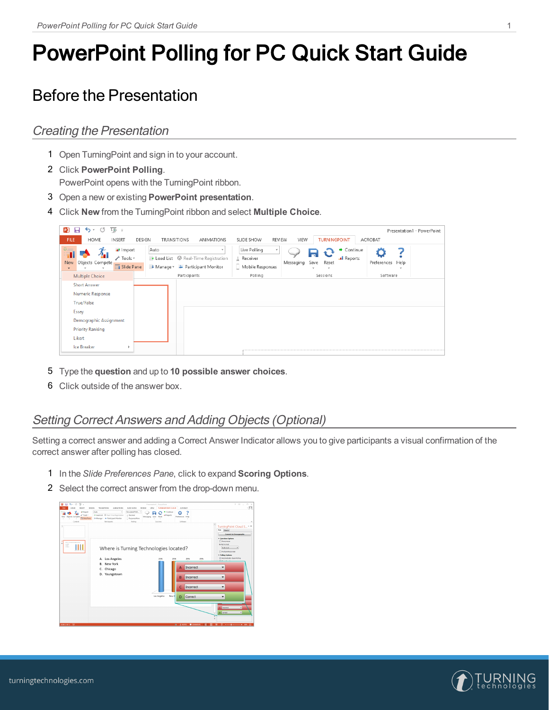# PowerPoint Polling for PC Quick Start Guide

## Before the Presentation

#### Creating the Presentation

- 1 Open TurningPoint and sign in to your account.
- 2 Click **PowerPoint Polling**. PowerPoint opens with the TurningPoint ribbon.
- 3 Open a new or existing **PowerPoint presentation**.
- 4 Click **New** from the TurningPoint ribbon and select **Multiple Choice**.

| $5 - 5$<br>ঢ়ি≂<br>PE<br>ы                                                 |                                                        |                                                                                         |                                                     | Presentation1 - PowerPoint |
|----------------------------------------------------------------------------|--------------------------------------------------------|-----------------------------------------------------------------------------------------|-----------------------------------------------------|----------------------------|
| <b>FILE</b><br>HOME<br><b>INSERT</b><br><b>DESIGN</b>                      | <b>TRANSITIONS</b><br><b>ANIMATIONS</b>                | SLIDE SHOW<br><b>REVIEW</b>                                                             | <b>TURNINGPOINT</b><br><b>VIEW</b>                  | <b>ACROBAT</b>             |
| af Import<br>√ Tools *<br>Objects Compete<br><b>New</b><br>Slide Pane<br>٠ | Auto<br>$\mathbf{v}$<br>Manage v & Participant Monitor | Live Polling<br>$\overline{\phantom{a}}$<br>A Receiver<br>Messaging<br>Mobile Responses | + Continue<br>m<br>al Reports<br>Save<br>Reset<br>× | Preferences<br>Help        |
| <b>Multiple Choice</b>                                                     | Participants                                           | Polling                                                                                 | Sessions                                            | Software                   |
| <b>Short Answer</b><br>Numeric Response<br><b>True/False</b>               |                                                        |                                                                                         |                                                     |                            |
| Essay                                                                      |                                                        |                                                                                         |                                                     |                            |
| Demographic Assignment                                                     |                                                        |                                                                                         |                                                     |                            |
| <b>Priority Ranking</b><br>Likert                                          |                                                        |                                                                                         |                                                     |                            |
| Ice Breaker                                                                |                                                        |                                                                                         |                                                     |                            |

- 5 Type the **question** and up to **10 possible answer choices**.
- 6 Click outside of the answer box.

### Setting Correct Answers and Adding Objects (Optional)

Setting a correct answer and adding a Correct Answer Indicator allows you to give participants a visual confirmation of the correct answer after polling has closed.

- 1 In the *Slide Preferences Pane*, click to expand **Scoring Options**.
- 2 Select the correct answer from the drop-down menu.



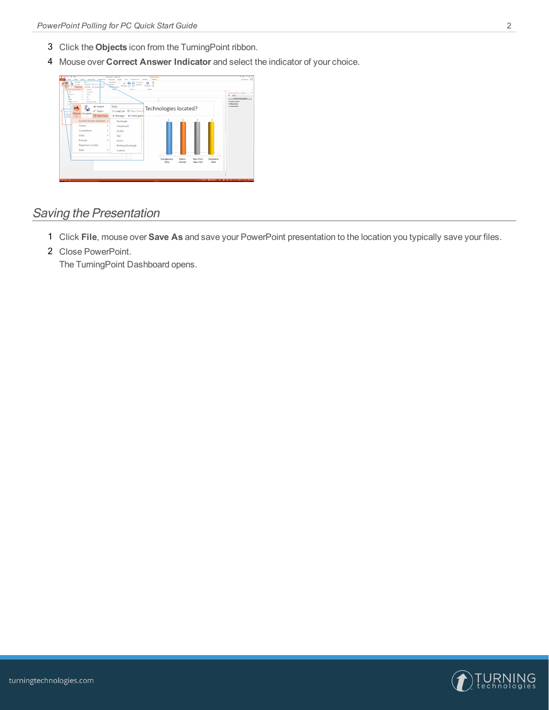- 3 Click the **Objects** icon from the TurningPoint ribbon.
- 4 Mouse over **Correct Answer Indicator** and select the indicator of your choice.

| <b>BIR ちゃき ほっ</b><br><b>BOSH</b><br>theories America<br>ASSET<br><b>LEWIS</b><br>Ada<br>af Import<br>In bactles @ Austine Boston<br>Z hard<br><b>Hill Conserter</b><br><b>Ta Staking</b><br>In Manger - In Paticipans Audio<br>Cornel Assure Industry 1<br>brzansk<br>Dung<br>Distant<br>×.<br><b>CONTROL</b><br><b>Smith</b><br>to:<br><b>Follows</b><br><b>Artist</b><br><b>Druggese</b> Country<br><b>Hinking Rythmale</b><br><b>Sun</b> | Penetation! - Penethsia<br>Mayne Your<br>FORME<br><b>INNIVERSIT ACROSS</b><br>52019-098<br><b>Atview</b><br>vow<br><b>Los Felling</b><br>٠<br>* Centinue<br>o<br>٥<br>Because<br>of Room<br><b>See Read</b><br>February 19th<br>Message<br><b>Miliag Business</b><br>non.<br>Sthere<br>5/2/09 | $7.8 - 8.8$<br>June Joshur - 177<br>TurningPoint Slide P., 7 ×<br>Stb Donn<br>Convoit to bonographic<br>> Question Sylvani<br>> Holling Outlook |
|---------------------------------------------------------------------------------------------------------------------------------------------------------------------------------------------------------------------------------------------------------------------------------------------------------------------------------------------------------------------------------------------------------------------------------------------|-----------------------------------------------------------------------------------------------------------------------------------------------------------------------------------------------------------------------------------------------------------------------------------------------|-------------------------------------------------------------------------------------------------------------------------------------------------|
| at Import<br>$\angle$ Tools -<br>٠<br><b>Weekly</b><br>Objects Compete<br><b>Southern</b><br>Slide Pane<br><b>POLICE</b><br><b>British</b>                                                                                                                                                                                                                                                                                                  | Auto<br>Technologies located?<br>A Manage - A Participant                                                                                                                                                                                                                                     | * Scoring Ephone                                                                                                                                |
| Correct Answer Indicator ><br>Charts<br>٠<br>Countdown<br>٠<br>Grids<br>٠<br>Prompt<br>٠<br><b>Response Counter</b><br><b>Stats</b><br>٠                                                                                                                                                                                                                                                                                                    | ĭ<br>Rectangle<br>Checkmark<br>Smiley<br>Star<br>Arrow<br><b>Blinking Rectangle</b><br>Custom<br>Miami<br>New York<br>Cleveland.<br>Youngstown,<br>Ohio<br>Florida<br>New York<br>Ohio                                                                                                        |                                                                                                                                                 |
| SURFACES DE                                                                                                                                                                                                                                                                                                                                                                                                                                 | д Анго Форман И II И 7 - финансов (95)                                                                                                                                                                                                                                                        |                                                                                                                                                 |

#### Saving the Presentation

- 1 Click **File**, mouse over **Save As** and save your PowerPoint presentation to the location you typically save your files.
- 2 Close PowerPoint.

The TurningPoint Dashboard opens.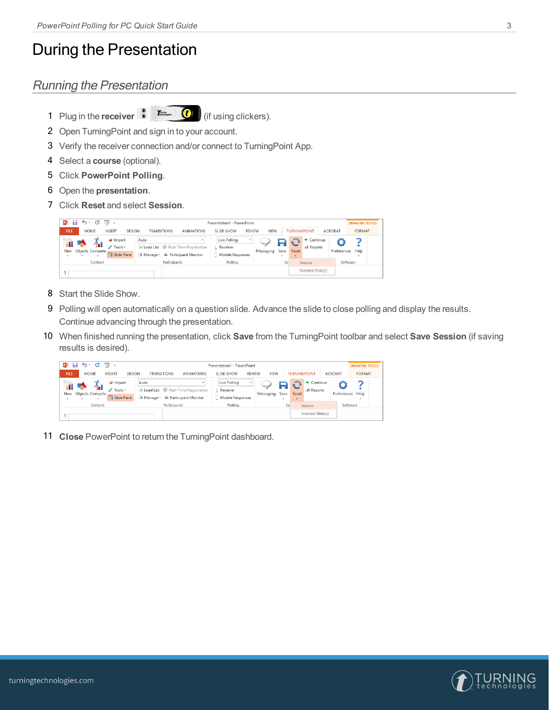### During the Presentation

### Running the Presentation

1 Plug in the **receiver** (if using clickers).

- 2 Open TurningPoint and sign in to your account.
- 3 Verify the receiver connection and/or connect to TurningPoint App.
- 4 Select a **course** (optional).
- 5 Click **PowerPoint Polling**.
- 6 Open the **presentation**.
- 7 Click **Reset** and select **Session**.

| P <sub>3</sub><br>н | $5 - 0$                                         | $\overline{L\otimes}$ =                     | Presentation1 - PowerPoint |                                                                                                                            |                                                          |           |                |                        |                        |                |                            | <b>DRAWING TOOLS</b> |
|---------------------|-------------------------------------------------|---------------------------------------------|----------------------------|----------------------------------------------------------------------------------------------------------------------------|----------------------------------------------------------|-----------|----------------|------------------------|------------------------|----------------|----------------------------|----------------------|
| FILE                | HOME                                            | <b>INSERT</b><br>DESIGN                     | <b>TRANSITIONS</b>         | ANIMATIONS                                                                                                                 | SLIDE SHOW<br><b>REVIEW</b>                              | VIEW      |                | <b>TURNINGPOINT</b>    |                        | <b>ACROBAT</b> | <b>FORMAT</b>              |                      |
| 11                  | New Objects Compete<br>$\overline{\phantom{a}}$ | uf Import<br><b>∕</b> Tools *<br>Slide Pane | Auto                       | $\sim$<br>$\blacktriangleright$ Load List $\blacktriangleright$ Real-Time Registration<br>▲ Manage > → Participant Monitor | Live Polling<br>$\sim$<br>A Receiver<br>Mobile Responses | Messaging | Save<br>$\sim$ | Reset<br>$\rightarrow$ | Continue<br>al Reports |                | Preferences Help<br>$\sim$ |                      |
|                     | Content                                         |                                             |                            | Participants                                                                                                               | Polling                                                  |           | Sei            |                        | Session                |                | Software                   |                      |
|                     |                                                 |                                             |                            |                                                                                                                            |                                                          |           |                |                        | Selected Slide(s)      |                |                            |                      |

- 8 Start the Slide Show.
- 9 Polling will open automatically on a question slide. Advance the slide to close polling and display the results. Continue advancing through the presentation.
- 10 When finished running the presentation, click **Save** from the TurningPoint toolbar and select **Save Session** (if saving results is desired).

| P <sub>3</sub><br>8 | $5 - 0$<br>$\overline{L\circledcirc}$ =<br>Presentation1 - PowerPoint |                                             |                                                                                                                 |            |                                                |                          |                                   |                                   |                     | <b>DRAWING TOOLS</b> |                |  |
|---------------------|-----------------------------------------------------------------------|---------------------------------------------|-----------------------------------------------------------------------------------------------------------------|------------|------------------------------------------------|--------------------------|-----------------------------------|-----------------------------------|---------------------|----------------------|----------------|--|
| FILE:               | <b>HOME</b>                                                           | <b>INSERT</b><br>DESIGN                     | <b>TRANSITIONS</b>                                                                                              | ANIMATIONS | SLIDE SHOW                                     | <b>REVIEW</b>            | VIEW                              | <b>TURNINGPOINT</b>               |                     | <b>ACROBAT</b>       | FORMAT         |  |
| ※一                  | New Objects Compete                                                   | af Import<br><b>∕</b> Tools *<br>Slide Pane | Auto<br>$\blacktriangleright$ Load List $\heartsuit$ Real-Time Registration<br>▲ Manage v → Participant Monitor | ٠          | Live Polling<br>A Receiver<br>Mobile Responses | $\overline{\phantom{a}}$ | Messaging<br>Save<br>$\mathbf{v}$ | Reset<br>$\overline{\phantom{a}}$ | Continue<br>Reports | Preferences          | Help<br>$\sim$ |  |
|                     | Content                                                               |                                             | Participants                                                                                                    |            | Polling                                        |                          | Se:                               |                                   | Session             |                      | Software       |  |
|                     |                                                                       |                                             |                                                                                                                 |            |                                                |                          |                                   |                                   | Selected Slide(s)   |                      |                |  |

11 **Close** PowerPoint to return the TurningPoint dashboard.